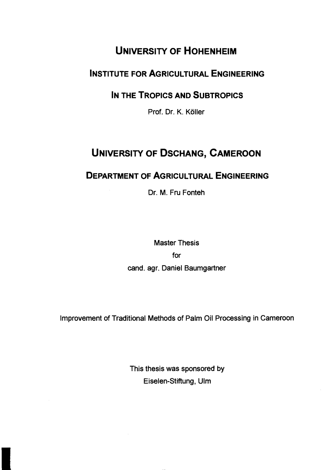# **UNIVERSITY OF HOHENHEIM**

#### **INSTITUTE FOR AGRICULTURAL ENGINEERING**

## **IN THE TROPICS AND SUBTROPICS**

Prof. Dr. K. Köller

# **UNIVERSITY OF DSCHANG, CAMEROON**

## **DEPARTMENT OF AGRICULTURAL ENGINEERING**

Dr. M. Fru Fonteh

Master Thesis for cand. agr. Daniel Baumgartner

Improvement of Traditional Methods of Palm Oil Processing in Cameroon

This thesis was sponsored by Eiselen-Stiftung, Ulm